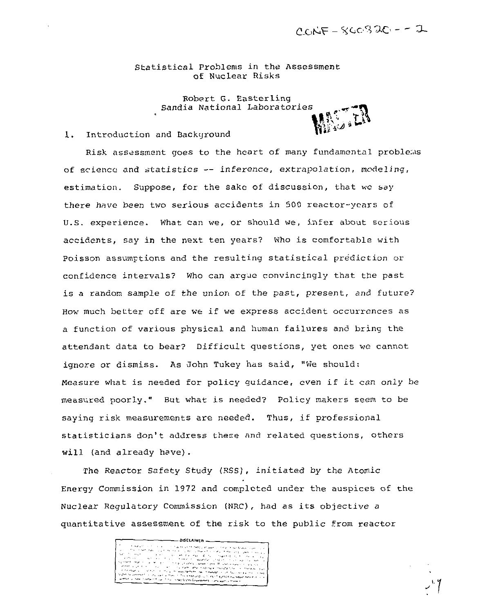Statistical Problems in the Assessment of Nuclear Risks

> Robert G. Easterling Sandia National Laboratories

## 1. Introduction and Background

Risk assessment goes to the heart of many fundamental problems of science and statistics — inference, extrapolation, modeling, estimation. Suppose, for the sake of discussion, that we say there have been two serious accidents in 500 reactor-years of U.S. experience. What can we, or should we, infer about serious accidents, say in the next ten years? Who is comfortable with Poisson assumptions and the resulting statistical prediction or confidence intervals? Who can argue convincingly that the past is a random sample of the union of the past, present, and future? How much better off are we if we express accident occurrences as a function of various physical and human failures and bring the attendant data to bear? Difficult questions, yet ones we cannot ignore or dismiss. As John Tukey has said, "We should: Measure what is needed for policy guidance, even if it can only be measured poorly." But what is needed? Policy makers seem to be saying risk measurements are needed. Thus, if professional statisticians don't address these and related questions, others will (and already have).

The Reactor Safety Study (RSS), initiated by the Atomic Energy Commission in 1972 and completed under the auspices of the Nuclear Regulatory Commission (NRC), had as its objective a quantitative assessment of the risk to the public from reactor

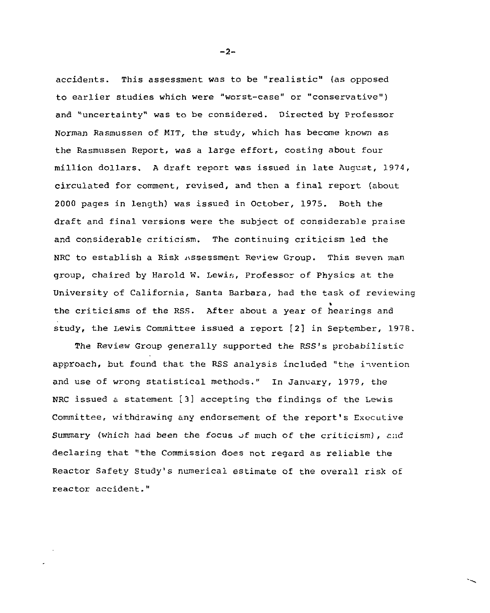accidents. This assessment was to be "realistic" (as opposed to earlier studies which were "worst-case" or "conservative") and "uncertainty" was to be considered. Directed by Professor Norman Rasmussen of MIT, the study, which has become known as the Rasmussen Report, was a large effort, costing about four million dollars. A draft report was issued in late August, 1974, circulated for comment, revised, and then a final report (about 2000 pages in length) was issued in October, 1975. Both the draft and final versions were the subject of considerable praise and considerable criticism. The continuing criticism led the NRC to establish a Risk Assessment Review Group. This seven man group, chaired by Harold W. Lewis, Professor of Physics at the University of California, Santa Barbara, had the task of reviewing the criticisms of the RSS. After about a year of hearings and study, the Lewis Committee issued a report [2] in September, 1978.

The Review Group generally supported the RSS's probabilistic approach, but found that the RSS analysis included "the invention and use of wrong statistical methods." In January, 1979, the NRC issued a statement [3] accepting the findings of the Lewis Committee, withdrawing any endorsement of the report's Executive Summary (which had been the focus of much of the criticism), and declaring that "the Commission does not regard as reliable the Reactor Safety Study's numerical estimate of the overall risk of reactor accident."

-2-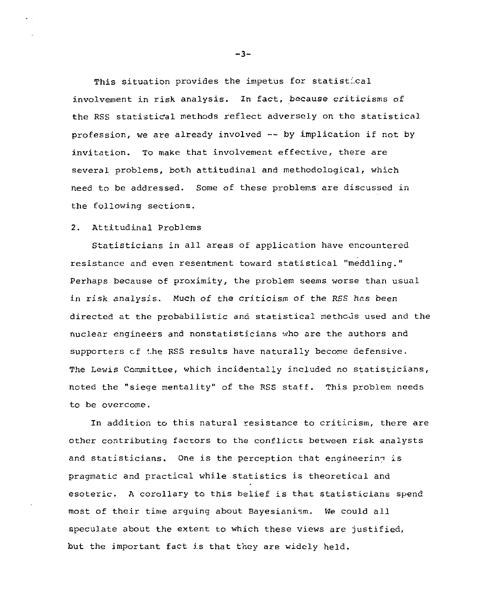This situation provides the impetus for statist:.cal involvement in risk analysis. In fact, because criticisms of the RSS statistical methods reflect adversely on the statistical profession, we are already involved — by implication if not by invitation. To make that involvement effective, there are several problems, both attitudinal and methodological, which need to be addressed. Some of these problems are discussed in the following sections.

### 2. Attitudinal Problems

Statisticians in all areas of application have encountered resistance and even resentment toward statistical "meddling." Perhaps because of proximity, the problem seems worse than usual in risk analysis. Much of the criticism of the RSS has been directed at the probabilistic and statistical methods used and the nuclear engineers and nonstatisticians who are the authors and supporters cf the RSS results have naturally become defensive. The Lewis Committee, which incidentally included no statisticians, noted the "siege mentality" of the RSS staff. This problem needs to be overcome.

In addition to this natural resistance to criticism, there are other contributing factors to the conflicts between risk analysts and statisticians. One is the perception that engineering is pragmatic and practical while statistics is theoretical and esoteric. A corollary to this belief is that statisticians spend most of their time arguing about Bayesianism. We could all speculate about the extent to which these views are justified, but the important fact is that they are widely held.

-3-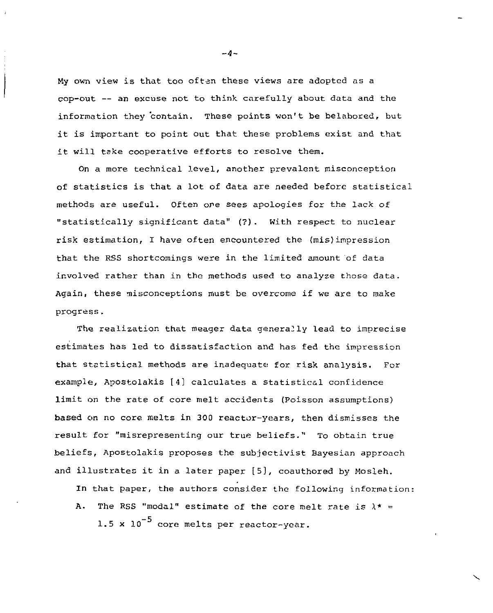My own view is that too oftan these views are adopted as a cop-out — an excuse not to think carefully about data and the information they contain. These points won't be belabored, but it is important to point out that these problems exist and that it will take cooperative efforts to resolve them.

On a more technical level, another prevalent misconception of statistics is that a lot of data are needed before statistical methods are useful. Often one sees apologies for the lack of "statistically significant data" (?). With respect to nuclear risk estimation, I have often encountered the (mis)impression that the RSS shortcomings were in the limited amount of data involved rather than in the methods used to analyze those data. Again, these misconceptions must be overcome if we are to make progress.

The realization that meager data genera21y lead to imprecise estimates has led to dissatisfaction and has fed the impression that statistical methods are inadequate for risk analysis. For example, Apostolakis [4] calculates a statistical confidence limit on the rate of core melt accidents (Poisson assumptions) based on no core melts in 300 reactor-years, then dismisses the result for "misrepresenting our true beliefs." To obtain true beliefs, Apostolakis proposes the subjectivist Bayesian approach and illustrates it in a later paper [5], coauthored by Mosleh.

In that paper, the authors consider the following information:

A. The RSS "modal" estimate of the core melt rate is  $\lambda^* =$ 1.5 x  $10^{-5}$  core melts per reactor-year.

 $-4-$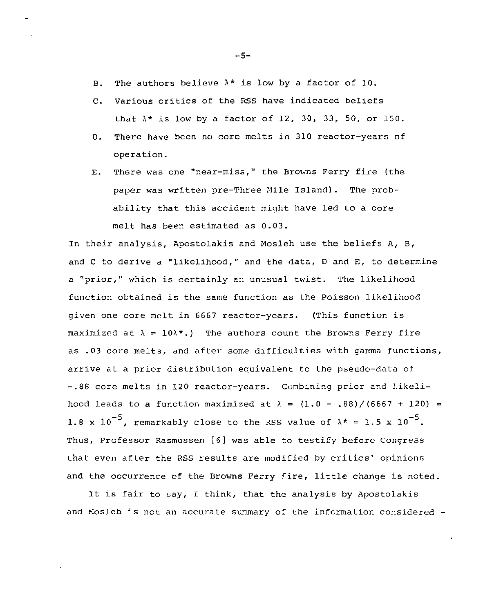- B. The authors believe  $\lambda^*$  is low by a factor of 10.
- C. Various critics of the RSS have indicated beliefs that  $\lambda^*$  is low by a factor of 12, 30, 33, 50, or 150.
- D. There have been no core melts in 310 reactor-years of operation.
- E. There was one "near-miss," the Browns Ferry fire (the paper was written pre-Three Mile Island) . The probability that this accident might have led to a core melt has been estimated as 0.03.

In their analysis, Apostolakis and Mosleh use the beliefs A, B, and C to derive a "likelihood," and the data, D and E, to determine a "prior," which is certainly an unusual twist. The likelihood function obtained is the same function as the Poisson likelihood given one core melt in 6667 reactor-years. (This function is maximized at  $\lambda = 10\lambda^*$ .) The authors count the Browns Ferry fire as .03 core melts, and after some difficulties with gamma functions, arrive at a prior distribution equivalent to the pseudo-data of -.88 core melts in 120 reactor-years. Combining prior and likelihood leads to a function maximized at  $\lambda = (1.0 - .88)/(6667 + 120) =$ 1.8 x 10<sup>-5</sup>, remarkably close to the RSS value of  $\lambda^* = 1.5$  x 10<sup>-5</sup>. Thus, Professor Rasmussen [6] was able to testify before Congress that even after the RSS results are modified by critics' opinions and the occurrence of the Browns Ferry fire, little change is noted.

It is fair to say, I think, that the analysis by Apostolakis and Mosleh : s not an accurate summary of the information considered -

-5-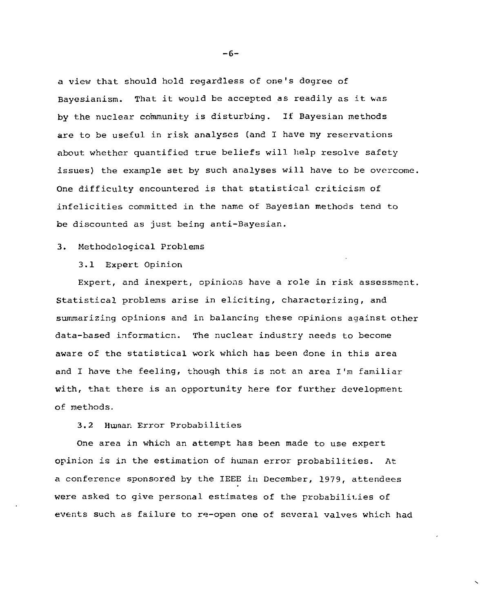a view that should hold regardless of one's degree of Bayesianism. That it would be accepted as readily as it was by the nuclear community is disturbing. If Bayesian methods are to be useful in risk analyses (and I have my reservations about whether quantified true beliefs will help resolve safety issues) the example set by such analyses will have to be overcome. One difficulty encountered is that statistical criticism of infelicities committed in the name of Bayesian methods tend to be discounted as just being anti-Bayesian.

## 3. Methodological Problems

3.1 Expert Opinion

Expert, and inexpert, opinions have a role in risk assessment. Statistical problems arise in eliciting, characterizing, and summarizing opinions and in balancing these opinions against other data-based information. The nuclear industry needs to become aware of the statistical work which has been done in this area and I have the feeling, though this is not an area I'm familiar with, that there is an opportunity here for further development of methods.

3.2 Human Error Probabilities

One area in which an attempt has been made to use expert opinion is in the estimation of human error probabilities. At a conference sponsored by the IEEE in December, 1979, attendees were asked to give personal estimates of the probabilities of events such as failure to re-open one of several valves which had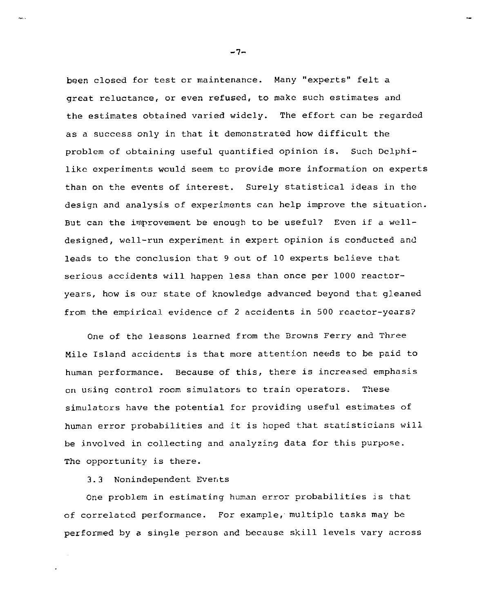been closed for test or maintenance. Many "experts" felt a great reluctance, or even refused, to make such estimates and the estimates obtained varied widely. The effort can be regarded as a success only in that it demonstrated how difficult the problem of obtaining useful quantified opinion is. Such Delphilike experiments would seem to provide more information on experts than on the events of interest. Surely statistical ideas in the design and analysis of experiments can help improve the situation. But can the improvement be enough to be useful? Even if a welldesigned, well-run experiment in expert opinion is conducted and leads to the conclusion that 9 out of 10 experts believe that serious accidents will happen less than once per 1000 reactoryears, how is our state of knowledge advanced beyond that gleaned from the empirical evidence of 2 accidents in 500 reactor-years?

One of the lessons learned from the Browns Ferry and Three Mile Island accidents is that more attention needs to be paid to human performance. Because of this, there is increased emphasis on using control room simulators to train operators. These simulators have the potential for providing useful estimates of human error probabilities and it is hoped that statisticians will be involved in collecting and analyzing data for this purpose. The opportunity is there.

3.3 Nonindependent Events

One problem in estimating human error probabilities is that of correlated performance. For example, multiple tasks may be performed by a single person and because skill levels vary across

-7-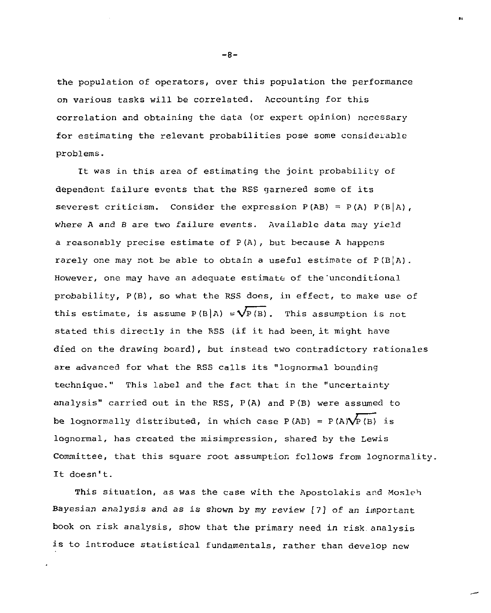the population of operators, over this population the performance on various tasks will be correlated. Accounting for this correlation and obtaining the data (or expert opinion) necessary for estimating the relevant probabilities pose some considerable problems.

It was in this area of estimating the joint probability of dependent failure events that the RSS garnered some of its severest criticism. Consider the expression  $P(AB) = P(A) P(B|A)$ , where A and B are two failure events. Available data may yield a reasonably precise estimate of  $P(A)$ , but because A happens rarely one may not be able to obtain a useful estimate of  $P(B|A)$ . However, one may have an adequate estimate of the'unconditional probability, P (B), so what the RSS does, in effect, to make use of this estimate, is assume  $P(B|A) = \sqrt{P(B)}$ . This assumption is not stated this directly in the RSS (if it had been, it might have died on the drawing board), but instead two contradictory rationales are advanced for what the RSS calls its "lognormal bounding technique." This label and the fact that in the "uncertainty analysis" carried out in the RSS, P(A) and P(B) were assumed to be lognormally distributed, in which case  $P(AB) = P(A)\sqrt{P(B)}$  is lognormal, has created the misimpression, shared by the Lewis Committee, that this square root assumption follows from lognormality. It doesn't.

This situation, as was the case with the Apostolakis and Mosleh Bayesian analysis and as is shown by my review [7] of an important book on risk analysis, show that the primary need in risk, analysis is to introduce statistical fundamentals, rather than develop new

 $-8-$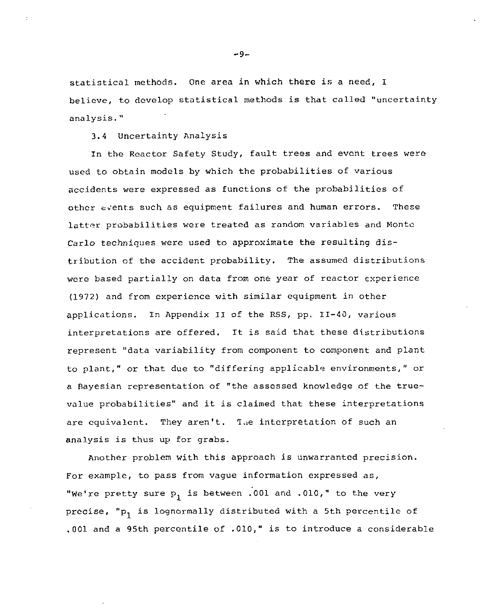statistical methods. One area in which there is a need, I believe, to develop statistical methods is that called "uncertainty analysis."

3.4 Uncertainty Analysis

In the Reactor Safety Study, fault trees and event trees were used to obtain models by which the probabilities of various accidents were expressed as functions of the probabilities of other events such as equipment failures and human errors. These latter probabilities were treated as random variables and Monto Carlo techniques were used to approximate the resulting distribution of the accident probability. The assumed distributions were based partially on data from one year of reactor experience (1972) and from experience with similar equipment in other applications. In Appendix II of the RSS, pp. 11-40, various interpretations are offered. It is said that these distributions represent "data variability from component to component and plant to plant," or that due to "differing applicable environments," or a Bayesian representation of "the assessed knowledge of the truevalue probabilities" and it is claimed that these interpretations are equivalent. They aren't. The interpretation of such an analysis is thus up for grabs.

Another problem with this approach is unwarranted precision. For example, to pass from vague information expressed as, "We're pretty sure  $p_1$  is between .001 and .010," to the very precise, "p<sub>1</sub> is lognormally distributed with a 5th percentile of .001 and a 95th percentile of .010," is to introduce a considerable

-9-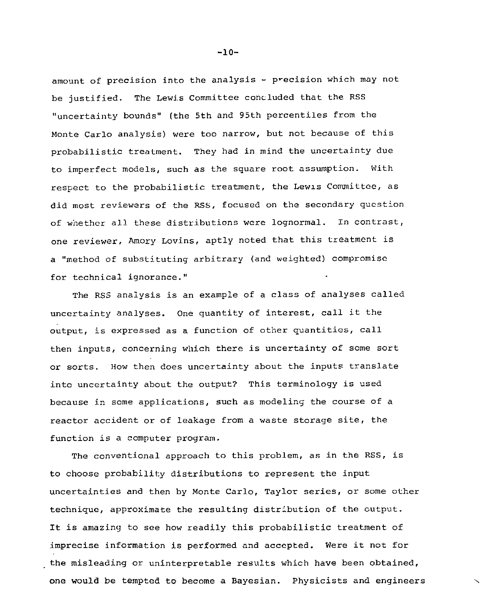amount of precision into the analysis - precision which may not be justified. The Lewis Committee concluded that the RSS "uncertainty bounds" (the 5th and 95th percentiles from the Monte Carlo analysis) were too narrow, but not because of this probabilistic treatment. They had in mind the uncertainty due to imperfect models, such as the square root assumption. With respect to the probabilistic treatment, the Lewis Committee, as did most reviewers of the RSS, focused on the secondary question of whether all these distributions were lognormal. In contrast, one reviewer, Amory Lovins, aptly noted that this treatment is a "method of substituting arbitrary (and weighted) compromise for technical ignorance."

The RSS analysis is an example of a class of analyses called uncertainty analyses. One quantity of interest, call it the output, is expressed as a function of other quantities, call then inputs, concerning which there is uncertainty of some sort or sorts. How then does uncertainty about the inputs translate into uncertainty about the output? This terminology is used because in some applications, such as modeling the course of a reactor accident or of leakage from a waste storage site, the function is a computer program.

The conventional approach to this problem, as in the RSS, is to choose probability distributions to represent the input uncertainties and then by Monte Carlo, Taylor series, or some other technique, approximate the resulting distribution of the output. It is amazing to see how readily this probabilistic treatment of imprecise information is performed and accepted. Were it not for the misleading or uninterpretable results which have been obtained, one would be tempted to become a Bayesian. Physicists and engineers

 $-10-$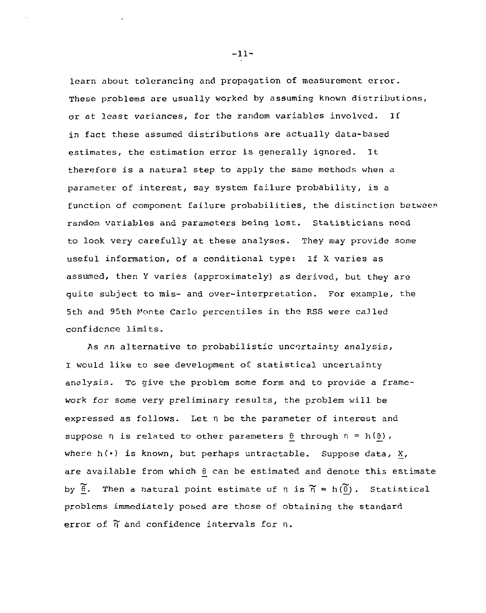learn about tolerancing and propagation of measurement error. These problems are usually worked by assuming known distributions, or at least variances, for the random variables involved. If in fact these assumed distributions are actually data-based estimates, the estimation error is generally ignored. It therefore is a natural step to apply the same methods when a parameter of interest, say system failure probability, is a function of component failure probabilities, the distinction between random variables and parameters being lost. Statisticians need to look very carefully at these analyses. They may provide some useful information, of a conditional type: If X varies as assumed, then Y varies (approximately) as derived, but they are quite subject to mis- and over-interpretation. For example, the 5th and 95th Monte Carlo percentiles in the RSS were called confidence limits.

As an alternative to probabilistic uncertainty analysis, I would like to see development of statistical uncertainty analysis. To give the problem some form and to provide a framework for some very preliminary results, the problem will be expressed as follows. Let n be the parameter of interest and suppose  $\eta$  is related to other parameters  $\theta$  through  $\eta = h(\theta)$ , where  $h(\cdot)$  is known, but perhaps untractable. Suppose data, X, are available from which  $\theta$  can be estimated and denote this estimate by  $\widetilde{B}$ . Then a natural point estimate of n is  $\widetilde{n} = h(\widetilde{\theta})$ . Statistical problems immediately posed are those of obtaining the standard error of  $\tilde{\eta}$  and confidence intervals for  $\eta$ .

-11-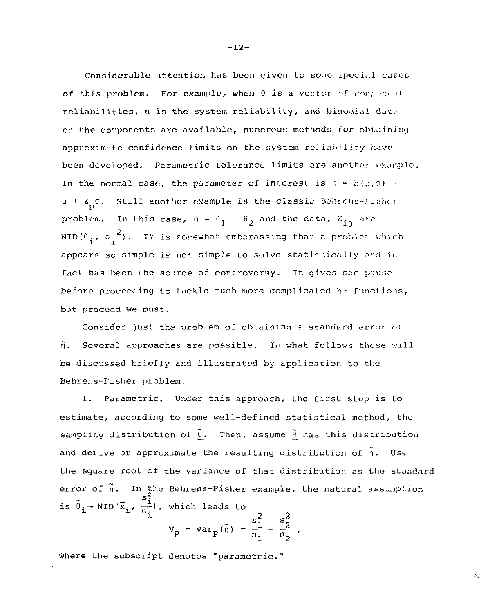Considerable attention has been given to some special cases of this problem. For example, when  $0$  is a vector of correspond reliabilities, n is the system reliability, and binomial data on the components are avaiInblo, numerous methods for obtaining approximate confidence limits on the system reliability have been developed. Parametric tolerance limits are another example. In the normal case, the parameter of interest is  $\gamma = h(r, r)$ :  $\mu$  +  $Z_p \sigma$ . Still another example is the classic Behrens-Fisher problem. In this case,  $n = \theta_1 - \theta_2$  and the data,  $X_{1,i}$  are NID(0,, o,<sup>2</sup>). It is somewhat embarassing that a problem which appears so simple is not simple to solve statiscically and in fact has been the source of controversy. It gives one pause before proceeding to tackle much more complicated h- functions, but proceed we must.

Consider just the problem of obtaining a standard error of  $\tilde{\eta}$ . Several approaches are possible. In what follows these will be discussed briefly and illustrated by application to the Behrens-Fisher problem.

1. Parametric. Under this approach, the first step is to estimate, according to some well-defined statistical method, the sampling distribution of  $\tilde{\theta}$ . Then, assume  $\tilde{\theta}$  has this distribution and derive or approximate the resulting distribution of  $\tilde{n}$ . Use the square root of the variance of that distribution as the standard error of  $\tilde{\eta}$ . In the Behrens-Fisher example, the natural assumption is  $\tilde{\theta}_i \sim \text{NID}' \tilde{x_i}$ ,  $\frac{s_i}{n_i}$ , which leads to  $\overline{2}$ ^ s <sup>2</sup> s <sup>2</sup>

 $\mathcal{E}_{\mathbf{X}}$ 

$$
V_{\text{p}} = \text{var}_{\text{p}}(\tilde{n}) = \frac{s_1^2}{n_1} + \frac{s_2^2}{n_2}
$$
,

where the subscript denotes "parametric."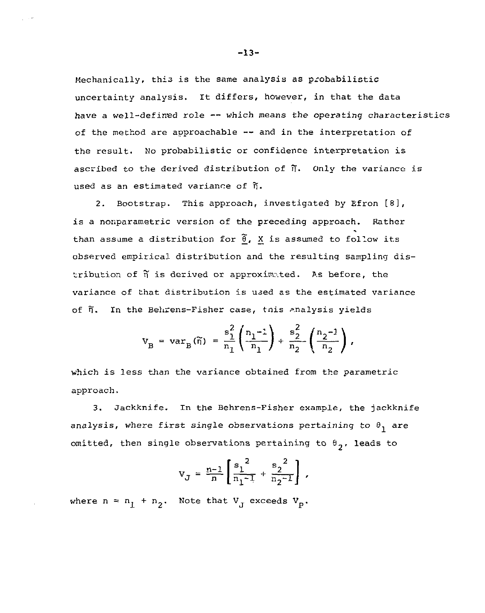Mechanically, this is the same analysis as probabilistic uncertainty analysis. It differs, however, in that the data have a well-defined role — which means the operating characteristics of the method are approachable — and in the interpretation of the result. No probabilistic or confidence interpretation is ascribed to the derived distribution of  $\widetilde{\eta}$ . Only the variance is used as an estimated variance of  $\tilde{n}$ .

2. Bootstrap. This approach, investigated by Efron [8], is a nonparametric version of the preceding approach. Rather than assume a distribution for *@\_,* X is assumed to follow its observed empirical distribution and the resulting sampling distribution of  $\tilde{\eta}$  is derived or approximated. As before, the variance of that distribution is used as the estimated variance of  $\tilde{n}$ . In the Behrens-Fisher case, tnis analysis yields

$$
V_{B} = var_{B}(\widetilde{n}) = \frac{s_1^2}{n_1} \left( \frac{n_1 - 1}{n_1} \right) + \frac{s_2^2}{n_2} \left( \frac{n_2 - 1}{n_2} \right),
$$

which is less than the variance obtained from the parametric approach.

3. Jackknife. In the Behrens-Fisher example, the jackknife analysis, where first single observations pertaining to  $\theta_1$  are omitted, then single observations pertaining to  $\theta_2$ , leads to

$$
V_J = \frac{n-1}{n} \left[ \frac{s_1^2}{n_1 - 1} + \frac{s_2^2}{n_2 - 1} \right],
$$

where  $n = n_1 + n_2$ . Note that  $V_J$  exceeds  $V_p$ .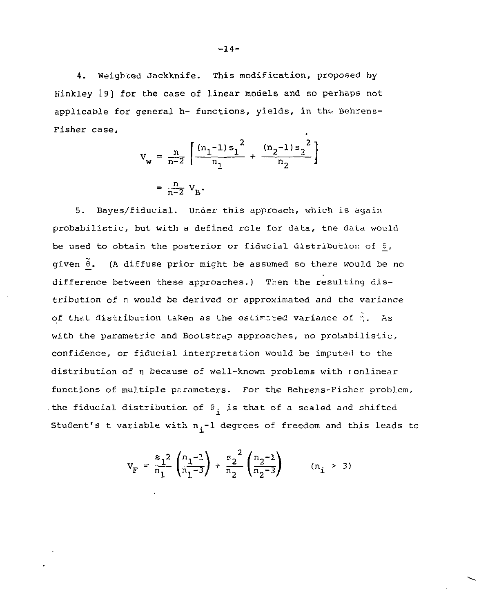4. Weighted Jackknife. This modification, proposed by Hinkley [9] for the case of linear models and so perhaps not applicable for general h- functions, yields, in the Behrens-Pisher case.

$$
v_{w} = \frac{n}{n-2} \left[ \frac{(n_1 - 1)s_1^2}{n_1} + \frac{(n_2 - 1)s_2^2}{n_2} \right]
$$
  
=  $\frac{n}{n-2} v_B$ .

5. Bayes/fiducial. Under this approach, which is again probabilistic, but with a defined role for data, the data would be used to obtain the posterior or fiducial distribution of  $\theta$ , given  $\tilde{\theta}$ . (A diffuse prior might be assumed so there would be no difference between these approaches.) Then the resulting distribution of n would be derived or approximated and the variance of that distribution taken as the estimated variance of  $\hat{r}$ . As with the parametric and Bootstrap approaches, no probabilistic, confidence, or fiducial interpretation would be imputed to the distribution of n because of well-known problems with ionlinear functions of multiple parameters. For the Behrens-Fisher problem, . the fiducial distribution of  $\theta_i$  is that of a scaled and shifted i Student's t variable with  $n_{\mathbf{i}}^{-1}$  degrees of freedom and this leads to

$$
V_F = \frac{s_1^2}{n_1} \left( \frac{n_1 - 1}{n_1 - 3} \right) + \frac{s_2^2}{n_2} \left( \frac{n_2 - 1}{n_2 - 3} \right) \qquad (n_i > 3)
$$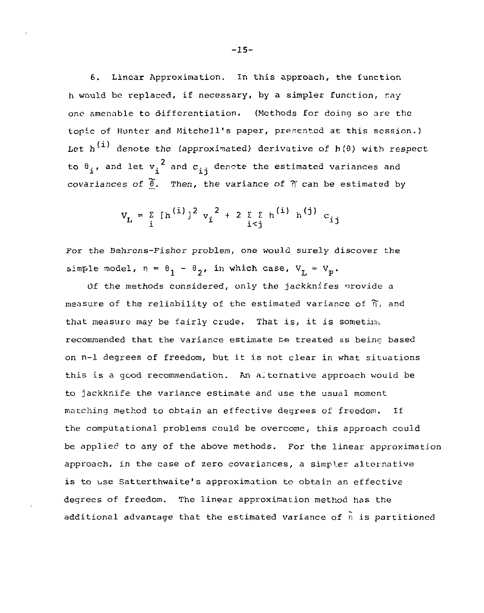6. Linear Approximation. In this approach, the function h would be replaced, if necessary, by a simpler function,  $ray$ one amenable to differentiation. (Methods for doing so are the topic of Hunter and Mitchell's paper, presented at this session.) Let  $h^{(1)}$  denote the (approximated) derivative of  $h(\theta)$  with respect 2  $\frac{1}{1}$  and let  $\frac{1}{1}$  and  $\frac{1}{1}$  denote the estimated variances and covariances of  $\frac{\widetilde{\theta}}{L}$ . Then, the variance of  $\widetilde{\eta}$  can be estimated by

$$
v_{L} = \sum_{i} [h^{(i)}]^{2} v_{i}^{2} + 2 \sum_{i < j} h^{(i)} h^{(j)} c_{ij}
$$

For the Behrens-Fisher problem, one would surely discover the simple model,  $\eta = \theta_1 - \theta_2$ , in which case,  $V_T = V_p$ .

Of the methods considered, only the jackknifes provide a measure of the reliability of the estimated variance of  $\widetilde{n}$ , and that measure may be fairly crude. That is, it is sometime recommended that the variance estimate be treated as being based on n-1 degrees of freedom, but it is not clear in what situations this is a good recommendation. An alternative approach would be to jackknife the variance estimate and use the usual moment matching method to obtain an effective degrees of freedom. If the computational problems could be overcome, this approach could be applied to any of the above methods. For the linear approximation approach, in the case of zero covariances, a simpler alternative is to use Satterthwaite's approximation to obtain an effective degrees of freedom. The linear approximation method has the additional advantage that the estimated variance of  $\tilde{n}$  is partitioned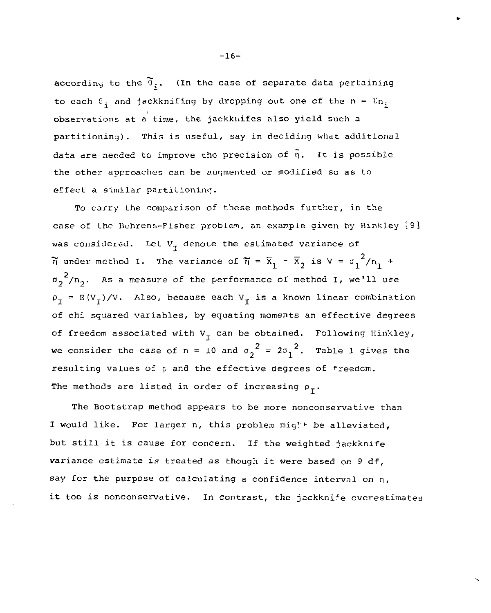according to the  $\widetilde{\theta}_i$ . (In the case of separate data pertaining to each  $\theta_i$  and jackknifing by dropping out one of the  $n = \sum n_i$ observations at a time, the jackknifes also yield such a partitioning). This is useful, say in deciding what additional data are needed to improve the precision of  $\tilde{n}$ . It is possible the other approaches can be augmented or modified so as to effect a similar partitioning.

To carry the comparison of these methods further, in the case of the Bchrens-Fisher problem, an example given by Hinkley [9] was considered. Let  $V_{\tau}$  denote the estimated variance of  $\tilde{n}$  under method I. The variance of  $\tilde{n} = \bar{x}_1 - \bar{x}_2$  is  $V = \sigma_1^2/n_1 +$  $\sigma_2^2/n_2$ . As a measure of the performance of method I, we'll use  $\rho_T = E(V_T)/V$ . Also, because each  $V_T$  is a known linear combination of chi squared variables, by equating moments an effective degrees of freedom associated with  $V<sub>T</sub>$  can be obtained. Following Hinkley, we consider the case of n = 10 and  $\sigma_2^2$  = 2 $\sigma_1^2$ . Table 1 gives the resulting values of  $\rho$  and the effective degrees of freedom. The methods are listed in order of increasing  $\rho_{\tau}$ .

The Bootstrap method appears to be more nonconservative than I would like. For larger n, this problem mig<sup>1</sup><sup>+</sup> be alleviated, but still it is cause for concern. If the weighted jackknife variance estimate is treated as though it were based on 9 df, say for the purpose of calculating a confidence interval on n, it too is nonconservative. In contrast, the jackknife overestimates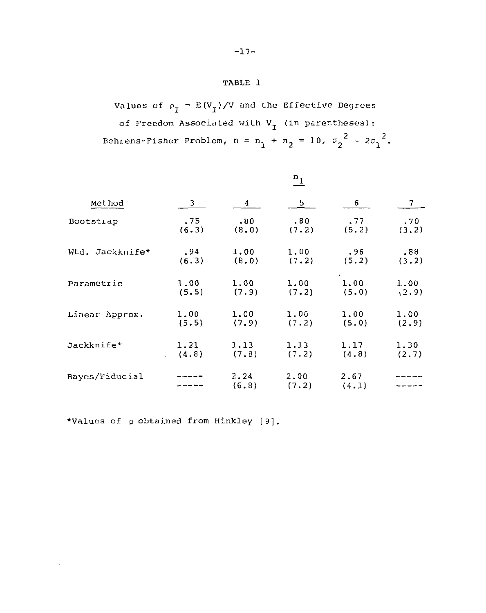# TABLE 1

Values of  $\rho_I = E(V_I)/V$  and the Effective Degrees of Freedom Associated with  $V_I$  (in parentheses):  $2^{2}$   $2^{2}$  $\frac{1}{1}$   $\frac{1}{2}$   $\frac{1}{2}$   $\frac{1}{2}$   $\frac{1}{2}$ 

| Method          | $\mathbf{n}_1$ |               |               |               |       |
|-----------------|----------------|---------------|---------------|---------------|-------|
|                 | 3              | 4             | 5             | 6             | 7     |
| Bootstrap       | .75            | . ម0          | .80           | .77           | .70   |
|                 | (6.3)          | (8, 0)        | (7.2)         | (5.2)         | (3.2) |
| Wtd. Jackknife* | .94            | 1.00          | 1.00          | .96           | .88.  |
|                 | (6.3)          | (8, 0)        | (7.2)         | (5.2)         | (3.2) |
| Parametric      | 1.00           | 1.00          | 1.00          | 1.00          | 1.00  |
|                 | (5.5)          | (7.9)         | (7.2)         | (5.0)         | (2.9) |
| Linear Approx.  | 1.00           | 1.00          | 1.00          | 1.00          | 1.00  |
|                 | (5.5)          | (7.9)         | (7.2)         | (5.0)         | (2.9) |
| Jackknife*      | 1.21           | 1.13          | 1.13          | 1.17          | 1.30  |
|                 | (4.8)          | (7.8)         | (7.2)         | (4.8)         | (2.7) |
| Bayes/Fiducial  |                | 2.24<br>(6.8) | 2.00<br>(7.2) | 2.67<br>(4.1) |       |

'Values of p obtained from Hinkley [9].

 $\epsilon$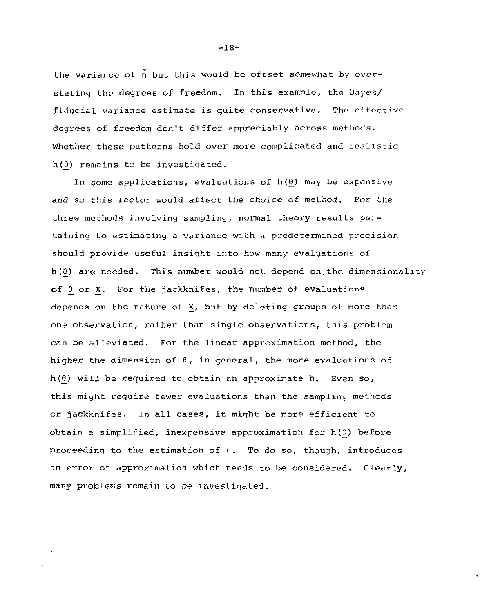the variance of  $\tilde{\eta}$  but this would be offset somewhat by overstating the degrees of freedom. In this example, the Bayes/ fiducial variance estimate is quite conservative. The effective degrees of freedom don't differ appreciably across methods. Whether these patterns hold over more complicated and realistic  $h(\theta)$  remains to be investigated.

In some applications, evaluations of h*(6)* may be expensive and so this factor would affect the choice of method. For the three methods involving sampling, normal theory results pertaining to estimating a variance with a predetermined precision should provide useful insight into how many evaluations of *h(.d)* are needed. This number would not depend on.the dimensionality of *0\_* or X. For the jackknifes, the number of evaluations depends on the nature of X, but by deleting groups of more than one observation, rather than single observations, this problem can be alleviated. For the linear approximation method, the higher the dimension of  $\theta$ , in general, the more evaluations of  $h(\theta)$  will be required to obtain an approximate h. Even so, this might require fewer evaluations than the sampling methods or jackknifes. In all cases, it might be more efficient to obtain a simplified, inexpensive approximation for h(9) before proceeding to the estimation of n. To do so, though, introduces an error of approximation which needs to be considered. Clearly, many problems remain to be investigated.

-18-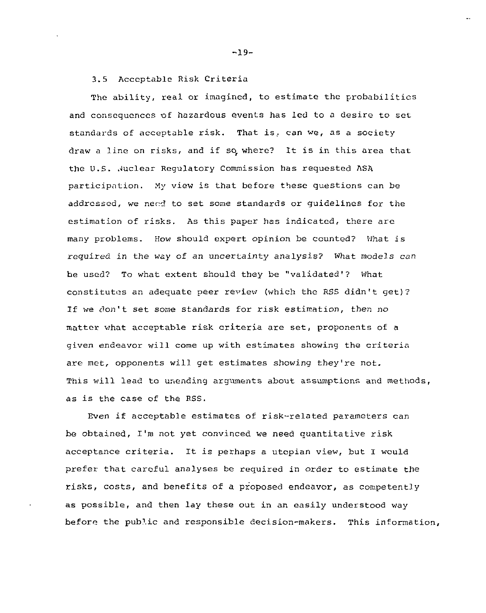3.5 Acceptable Risk Criteria

The ability, real or imagined, to estimate the probabilities and consequences of hazardous events has led to a desire to set standards of acceptable risk. That is, can we, as a society draw a line on risks, and if so, where? It is in this area that the U.S. Juclear Regulatory Commission has requested ASA participation. My view is that before these questions can be addressed, we nerd to set some standards or guidelines for the estimation of risks. As this paper has indicated, there are many problems. How should expert opinion be counted? What is required in the way of an uncertainty analysis? What models can he used? To what extent should they be "validated'? what constitutes an adequate peer review (which the RSS didn't get)? If we don't set some standards for risk estimation, then no matter what acceptable risk criteria are set, proponents of a given endeavor will come up with estimates showing the criteria are met, opponents will get estimates showing they're not. This will lead to unending arguments about assumptions and methods, as is the case of the RSS.

Even if acceptable estimates of risk-related parameters can be obtained, I'm not yet convinced we need quantitative risk acceptance criteria. It is perhaps a utopian view, but I would prefer that careful analyses be required in order to estimate the risks, costs, and benefits of a proposed endeavor, as competently as possible, and then lay these out in an easily understood way before the public and responsible decision-makers. This information.

-19-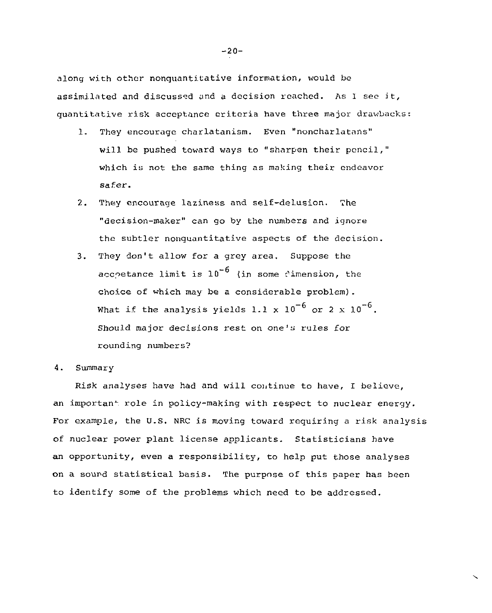along with other nonquantitative information, would be assimilated and discussed and a decision reached. As 1 see it, quantitative risk acceptance criteria have three major drawbacks:

- 1. They encourage charlatanism. Even "noncharlatans" will be pushed toward ways to "sharpen their pencil," which is not the same thing as making their endeavor safer.
- 2. They encourage laziness and self-delusion. The "decision-maker" can go by the numbers and ignore the subtler nonquantitative aspects of the decision.
- 3. They don't allow for a grey area. Suppose the acchetance limit is  $10^{-6}$  (in some dimension, the choice of which may be a considerable problem). What if the analysis yields 1.1 x  $10^{-6}$  or 2 x  $10^{-6}$ . Should major decisions rest on one's rules for rounding numbers?
- 4. Summary

Risk analyses have had and will continue to have, I believe, an important role in policy-making with respect to nuclear energy. For example, the U.S. NRC is moving toward requiring a risk analysis of nuclear power plant license applicants. Statisticians have an opportunity, even a responsibility, to help put those analyses on a sound statistical basis. The purpose of this paper has been to identify some of the problems which need to be addressed.